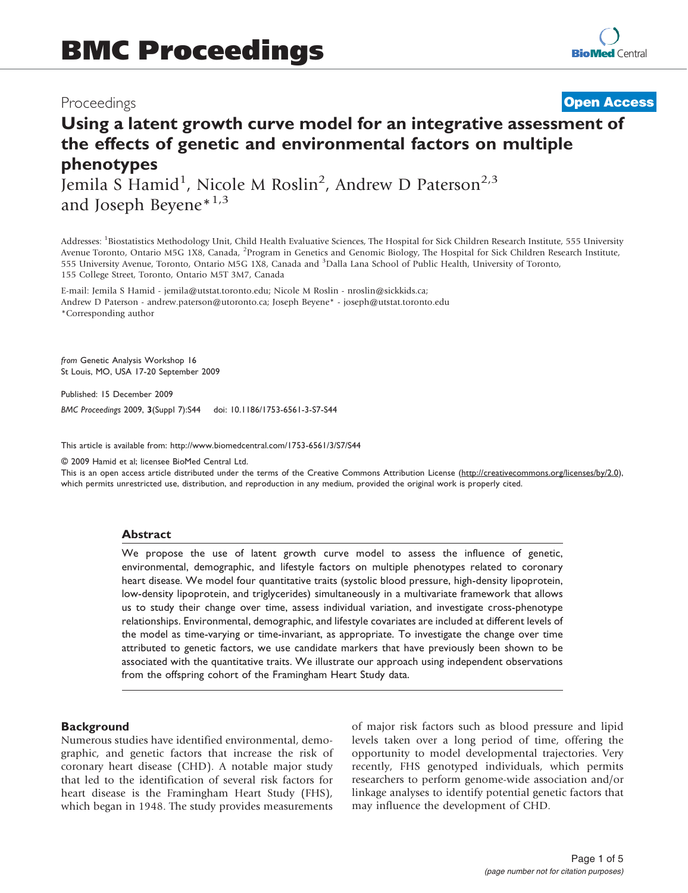## Proceedings

## **[Open Access](http://www.biomedcentral.com/info/about/charter/)**

# Using a latent growth curve model for an integrative assessment of the effects of genetic and environmental factors on multiple phenotypes

Jemila S Hamid<sup>1</sup>, Nicole M Roslin<sup>2</sup>, Andrew D Paterson<sup>2,3</sup> and Joseph Beyene $*^{1,3}$ 

Addresses: <sup>1</sup>Biostatistics Methodology Unit, Child Health Evaluative Sciences, The Hospital for Sick Children Research Institute, 555 University Avenue Toronto, Ontario M5G 1X8, Canada, <sup>2</sup>Program in Genetics and Genomic Biology, The Hospital for Sick Children Research Institute, 555 University Avenue, Toronto, Ontario M5G 1X8, Canada and <sup>3</sup>Dalla Lana School of Public Health, University of Toronto, 155 College Street, Toronto, Ontario M5T 3M7, Canada

E-mail: Jemila S Hamid - [jemila@utstat.toronto.edu](mailto:jemila@utstat.toronto.edu); Nicole M Roslin - [nroslin@sickkids.ca;](mailto:nroslin@sickkids.ca) Andrew D Paterson - [andrew.paterson@utoronto.ca;](mailto:andrew.paterson@utoronto.ca) Joseph Beyene\* - [joseph@utstat.toronto.edu](mailto:joseph@utstat.toronto.edu) \*Corresponding author

from Genetic Analysis Workshop 16 St Louis, MO, USA 17-20 September 2009

Published: 15 December 2009 BMC Proceedings 2009, 3(Suppl 7):S44 doi: 10.1186/1753-6561-3-S7-S44

This article is available from: http://www.biomedcentral.com/1753-6561/3/S7/S44

© 2009 Hamid et al; licensee BioMed Central Ltd.

This is an open access article distributed under the terms of the Creative Commons Attribution License [\(http://creativecommons.org/licenses/by/2.0\)](http://creativecommons.org/licenses/by/2.0), which permits unrestricted use, distribution, and reproduction in any medium, provided the original work is properly cited.

#### Abstract

We propose the use of latent growth curve model to assess the influence of genetic, environmental, demographic, and lifestyle factors on multiple phenotypes related to coronary heart disease. We model four quantitative traits (systolic blood pressure, high-density lipoprotein, low-density lipoprotein, and triglycerides) simultaneously in a multivariate framework that allows us to study their change over time, assess individual variation, and investigate cross-phenotype relationships. Environmental, demographic, and lifestyle covariates are included at different levels of the model as time-varying or time-invariant, as appropriate. To investigate the change over time attributed to genetic factors, we use candidate markers that have previously been shown to be associated with the quantitative traits. We illustrate our approach using independent observations from the offspring cohort of the Framingham Heart Study data.

#### **Background**

Numerous studies have identified environmental, demographic, and genetic factors that increase the risk of coronary heart disease (CHD). A notable major study that led to the identification of several risk factors for heart disease is the Framingham Heart Study (FHS), which began in 1948. The study provides measurements of major risk factors such as blood pressure and lipid levels taken over a long period of time, offering the opportunity to model developmental trajectories. Very recently, FHS genotyped individuals, which permits researchers to perform genome-wide association and/or linkage analyses to identify potential genetic factors that may influence the development of CHD.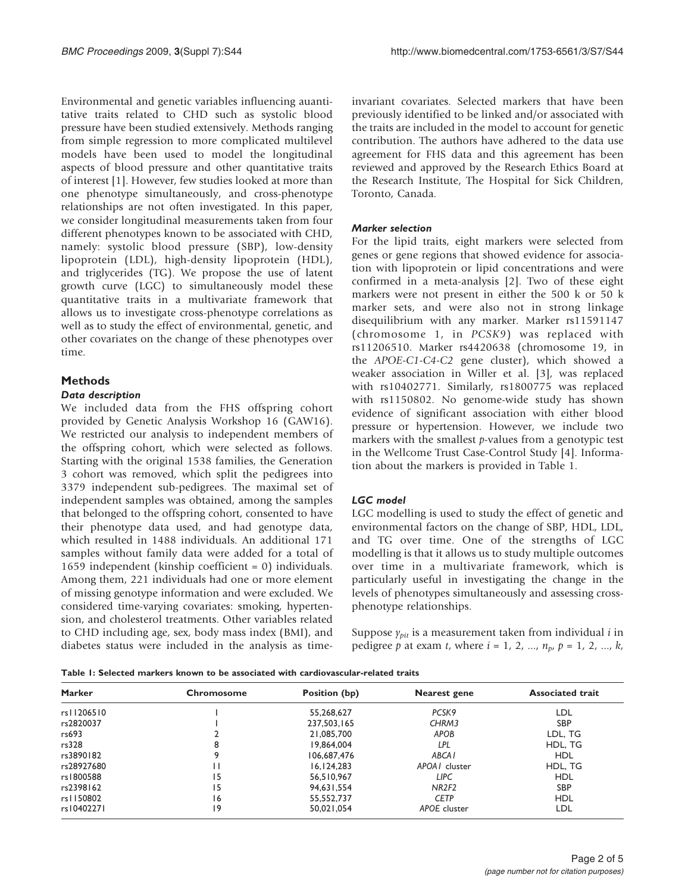<span id="page-1-0"></span>Environmental and genetic variables influencing auantitative traits related to CHD such as systolic blood pressure have been studied extensively. Methods ranging from simple regression to more complicated multilevel models have been used to model the longitudinal aspects of blood pressure and other quantitative traits of interest [[1](#page-4-0)]. However, few studies looked at more than one phenotype simultaneously, and cross-phenotype relationships are not often investigated. In this paper, we consider longitudinal measurements taken from four different phenotypes known to be associated with CHD, namely: systolic blood pressure (SBP), low-density lipoprotein (LDL), high-density lipoprotein (HDL), and triglycerides (TG). We propose the use of latent growth curve (LGC) to simultaneously model these quantitative traits in a multivariate framework that allows us to investigate cross-phenotype correlations as well as to study the effect of environmental, genetic, and other covariates on the change of these phenotypes over time.

## Methods

#### Data description

We included data from the FHS offspring cohort provided by Genetic Analysis Workshop 16 (GAW16). We restricted our analysis to independent members of the offspring cohort, which were selected as follows. Starting with the original 1538 families, the Generation 3 cohort was removed, which split the pedigrees into 3379 independent sub-pedigrees. The maximal set of independent samples was obtained, among the samples that belonged to the offspring cohort, consented to have their phenotype data used, and had genotype data, which resulted in 1488 individuals. An additional 171 samples without family data were added for a total of 1659 independent (kinship coefficient = 0) individuals. Among them, 221 individuals had one or more element of missing genotype information and were excluded. We considered time-varying covariates: smoking, hypertension, and cholesterol treatments. Other variables related to CHD including age, sex, body mass index (BMI), and diabetes status were included in the analysis as timeinvariant covariates. Selected markers that have been previously identified to be linked and/or associated with the traits are included in the model to account for genetic contribution. The authors have adhered to the data use agreement for FHS data and this agreement has been reviewed and approved by the Research Ethics Board at the Research Institute, The Hospital for Sick Children, Toronto, Canada.

### Marker selection

For the lipid traits, eight markers were selected from genes or gene regions that showed evidence for association with lipoprotein or lipid concentrations and were confirmed in a meta-analysis [\[2\]](#page-4-0). Two of these eight markers were not present in either the 500 k or 50 k marker sets, and were also not in strong linkage disequilibrium with any marker. Marker rs11591147 (chromosome 1, in PCSK9) was replaced with rs11206510. Marker rs4420638 (chromosome 19, in the APOE-C1-C4-C2 gene cluster), which showed a weaker association in Willer et al. [[3](#page-4-0)], was replaced with rs10402771. Similarly, rs1800775 was replaced with rs1150802. No genome-wide study has shown evidence of significant association with either blood pressure or hypertension. However, we include two markers with the smallest  $p$ -values from a genotypic test in the Wellcome Trust Case-Control Study [[4](#page-4-0)]. Information about the markers is provided in Table 1.

## LGC model

LGC modelling is used to study the effect of genetic and environmental factors on the change of SBP, HDL, LDL, and TG over time. One of the strengths of LGC modelling is that it allows us to study multiple outcomes over time in a multivariate framework, which is particularly useful in investigating the change in the levels of phenotypes simultaneously and assessing crossphenotype relationships.

Suppose  $\gamma_{pit}$  is a measurement taken from individual *i* in pedigree p at exam t, where  $i = 1, 2, ..., n_p, p = 1, 2, ..., k$ ,

| Table 1: Selected markers known to be associated with cardiovascular-related traits |  |  |  |
|-------------------------------------------------------------------------------------|--|--|--|
|-------------------------------------------------------------------------------------|--|--|--|

| <b>Marker</b> | Chromosome | Position (bp) | Nearest gene              | <b>Associated trait</b> |  |
|---------------|------------|---------------|---------------------------|-------------------------|--|
| rs11206510    |            | 55,268,627    | PCSK9                     | LDL                     |  |
| rs2820037     |            | 237,503,165   | CHRM3                     | <b>SBP</b>              |  |
| rs693         |            | 21,085,700    | APOB                      | LDL, TG                 |  |
| rs328         | 8          | 19,864,004    | LPL                       | HDL, TG                 |  |
| rs3890182     | 9          | 106,687,476   | ABCA <sub>I</sub>         | <b>HDL</b>              |  |
| rs28927680    | Н          | 16.124.283    | APOA <sub>l</sub> cluster | HDL, TG                 |  |
| rs1800588     | 15         | 56,510,967    | LIPC                      | HDL                     |  |
| rs2398162     | 15         | 94.631.554    | NR <sub>2F2</sub>         | <b>SBP</b>              |  |
| rs1150802     | 16         | 55.552.737    | <b>CETP</b>               | <b>HDL</b>              |  |
| rs10402271    | 9          | 50.021.054    | APOE cluster              | LDL                     |  |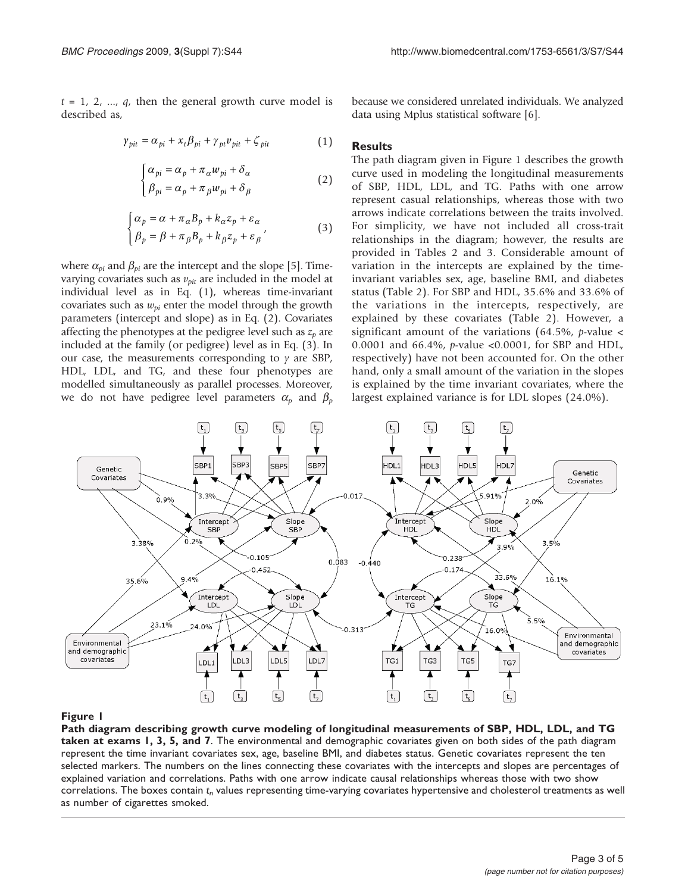<span id="page-2-0"></span> $t = 1, 2, ..., q$ , then the general growth curve model is described as,

$$
\gamma_{pit} = \alpha_{pi} + x_t \beta_{pi} + \gamma_{pt} \nu_{pit} + \zeta_{pit} \tag{1}
$$

$$
\begin{cases} \alpha_{pi} = \alpha_p + \pi_\alpha w_{pi} + \delta_\alpha \\ \beta_{pi} = \alpha_p + \pi_\beta w_{pi} + \delta_\beta \end{cases}
$$
 (2)

$$
\begin{cases} \alpha_p = \alpha + \pi_\alpha B_p + k_\alpha z_p + \varepsilon_\alpha \\ \beta_p = \beta + \pi_\beta B_p + k_\beta z_p + \varepsilon_\beta \end{cases} \tag{3}
$$

where  $\alpha_{pi}$  and  $\beta_{pi}$  are the intercept and the slope [[5](#page-4-0)]. Timevarying covariates such as  $v_{pit}$  are included in the model at individual level as in Eq. (1), whereas time-invariant covariates such as  $w_{ni}$  enter the model through the growth parameters (intercept and slope) as in Eq. (2). Covariates affecting the phenotypes at the pedigree level such as  $z_p$  are included at the family (or pedigree) level as in Eq. (3). In our case, the measurements corresponding to  $\gamma$  are SBP, HDL, LDL, and TG, and these four phenotypes are modelled simultaneously as parallel processes. Moreover, we do not have pedigree level parameters  $\alpha_p$  and  $\beta_p$  because we considered unrelated individuals. We analyzed data using Mplus statistical software [\[6\]](#page-4-0).

#### **Results**

The path diagram given in Figure 1 describes the growth curve used in modeling the longitudinal measurements of SBP, HDL, LDL, and TG. Paths with one arrow represent casual relationships, whereas those with two arrows indicate correlations between the traits involved. For simplicity, we have not included all cross-trait relationships in the diagram; however, the results are provided in Tables [2](#page-3-0) and [3](#page-3-0). Considerable amount of variation in the intercepts are explained by the timeinvariant variables sex, age, baseline BMI, and diabetes status [\(Table 2\)](#page-3-0). For SBP and HDL, 35.6% and 33.6% of the variations in the intercepts, respectively, are explained by these covariates [\(Table 2\)](#page-3-0). However, a significant amount of the variations (64.5%, p-value  $\lt$ 0.0001 and 66.4%, p-value <0.0001, for SBP and HDL, respectively) have not been accounted for. On the other hand, only a small amount of the variation in the slopes is explained by the time invariant covariates, where the largest explained variance is for LDL slopes (24.0%).



#### Figure 1

Path diagram describing growth curve modeling of longitudinal measurements of SBP, HDL, LDL, and TG taken at exams 1, 3, 5, and 7. The environmental and demographic covariates given on both sides of the path diagram represent the time invariant covariates sex, age, baseline BMI, and diabetes status. Genetic covariates represent the ten selected markers. The numbers on the lines connecting these covariates with the intercepts and slopes are percentages of explained variation and correlations. Paths with one arrow indicate causal relationships whereas those with two show correlations. The boxes contain  $t_n$  values representing time-varying covariates hypertensive and cholesterol treatments as well as number of cigarettes smoked.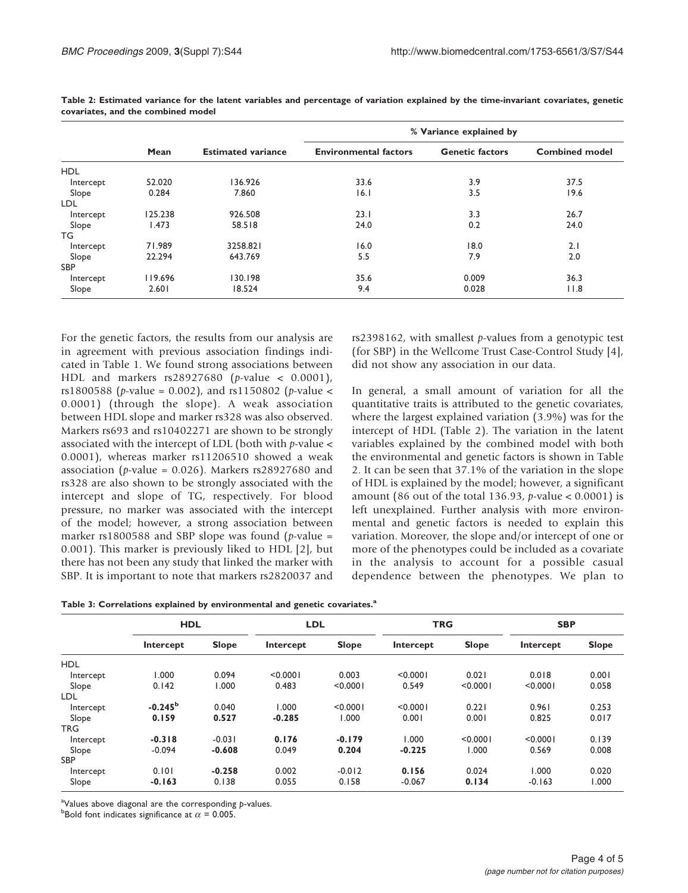|            |         |                           | % Variance explained by      |                        |                       |  |  |
|------------|---------|---------------------------|------------------------------|------------------------|-----------------------|--|--|
|            | Mean    | <b>Estimated variance</b> | <b>Environmental factors</b> | <b>Genetic factors</b> | <b>Combined model</b> |  |  |
| <b>HDL</b> |         |                           |                              |                        |                       |  |  |
| Intercept  | 52.020  | 136.926                   | 33.6                         | 3.9                    | 37.5                  |  |  |
| Slope      | 0.284   | 7.860                     | 6.1                          | 3.5                    | 19.6                  |  |  |
| LDL        |         |                           |                              |                        |                       |  |  |
| Intercept  | 125.238 | 926.508                   | 23.1                         | 3.3                    | 26.7                  |  |  |
| Slope      | 1.473   | 58.518                    | 24.0                         | 0.2                    | 24.0                  |  |  |
| TG         |         |                           |                              |                        |                       |  |  |
| Intercept  | 71.989  | 3258.821                  | 16.0                         | 18.0                   | 2.1                   |  |  |
| Slope      | 22.294  | 643.769                   | 5.5                          | 7.9                    | 2.0                   |  |  |
| <b>SBP</b> |         |                           |                              |                        |                       |  |  |
| Intercept  | 119.696 | 130.198                   | 35.6                         | 0.009                  | 36.3                  |  |  |
| Slope      | 2.601   | 18.524                    | 9.4                          | 0.028                  | 11.8                  |  |  |

<span id="page-3-0"></span>Table 2: Estimated variance for the latent variables and percentage of variation explained by the time-invariant covariates, genetic covariates, and the combined model

For the genetic factors, the results from our analysis are in agreement with previous association findings indicated in [Table 1.](#page-1-0) We found strong associations between HDL and markers rs28927680 (p-value < 0.0001), rs1800588 (p-value = 0.002), and rs1150802 (p-value < 0.0001) (through the slope). A weak association between HDL slope and marker rs328 was also observed. Markers rs693 and rs10402271 are shown to be strongly associated with the intercept of LDL (both with  $p$ -value  $\lt$ 0.0001), whereas marker rs11206510 showed a weak association ( $p$ -value = 0.026). Markers rs28927680 and rs328 are also shown to be strongly associated with the intercept and slope of TG, respectively. For blood pressure, no marker was associated with the intercept of the model; however, a strong association between marker rs1800588 and SBP slope was found ( $p$ -value = 0.001). This marker is previously liked to HDL [[2](#page-4-0)], but there has not been any study that linked the marker with SBP. It is important to note that markers rs2820037 and

rs2398162, with smallest  $p$ -values from a genotypic test (for SBP) in the Wellcome Trust Case-Control Study [[4](#page-4-0)], did not show any association in our data.

In general, a small amount of variation for all the quantitative traits is attributed to the genetic covariates, where the largest explained variation (3.9%) was for the intercept of HDL (Table 2). The variation in the latent variables explained by the combined model with both the environmental and genetic factors is shown in Table 2. It can be seen that 37.1% of the variation in the slope of HDL is explained by the model; however, a significant amount (86 out of the total 136.93,  $p$ -value < 0.0001) is left unexplained. Further analysis with more environmental and genetic factors is needed to explain this variation. Moreover, the slope and/or intercept of one or more of the phenotypes could be included as a covariate in the analysis to account for a possible casual dependence between the phenotypes. We plan to

| Table 3: Correlations explained by environmental and genetic covariates. <sup>a</sup> |  |  |  |
|---------------------------------------------------------------------------------------|--|--|--|
|                                                                                       |  |  |  |

|            | <b>HDL</b> |              | <b>LDL</b> |              | <b>TRG</b> |              | <b>SBP</b> |              |
|------------|------------|--------------|------------|--------------|------------|--------------|------------|--------------|
|            | Intercept  | <b>Slope</b> | Intercept  | <b>Slope</b> | Intercept  | <b>Slope</b> | Intercept  | <b>Slope</b> |
| <b>HDL</b> |            |              |            |              |            |              |            |              |
| Intercept  | 000.1      | 0.094        | < 0.0001   | 0.003        | < 0.0001   | 0.021        | 0.018      | 0.001        |
| Slope      | 0.142      | 1.000        | 0.483      | < 0.0001     | 0.549      | < 0.0001     | < 0.0001   | 0.058        |
| LDL        |            |              |            |              |            |              |            |              |
| Intercept  | $-0.245b$  | 0.040        | 1.000      | < 0.0001     | < 0.0001   | 0.221        | 0.961      | 0.253        |
| Slope      | 0.159      | 0.527        | $-0.285$   | 1.000        | 0.001      | 0.001        | 0.825      | 0.017        |
| TRG.       |            |              |            |              |            |              |            |              |
| Intercept  | $-0.318$   | $-0.031$     | 0.176      | $-0.179$     | 000.1      | < 0.0001     | < 0.0001   | 0.139        |
| Slope      | $-0.094$   | $-0.608$     | 0.049      | 0.204        | $-0.225$   | 1.000        | 0.569      | 0.008        |
| <b>SBP</b> |            |              |            |              |            |              |            |              |
| Intercept  | 0.101      | $-0.258$     | 0.002      | $-0.012$     | 0.156      | 0.024        | 1.000      | 0.020        |
| Slope      | $-0.163$   | 0.138        | 0.055      | 0.158        | $-0.067$   | 0.134        | $-0.163$   | 1.000        |

<sup>a</sup>Values above diagonal are the corresponding p-values.<br><sup>b</sup>Rold font indicates simificance at  $\alpha = 0.005$ 

<sup>b</sup>Bold font indicates significance at  $\alpha$  = 0.005.